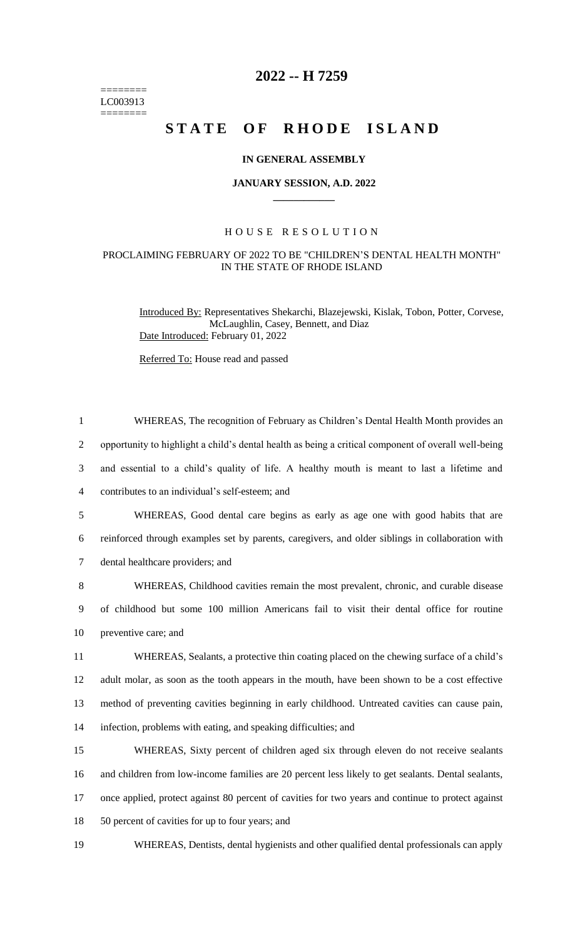======== LC003913 ========

## **2022 -- H 7259**

# **STATE OF RHODE ISLAND**

### **IN GENERAL ASSEMBLY**

#### **JANUARY SESSION, A.D. 2022 \_\_\_\_\_\_\_\_\_\_\_\_**

### H O U S E R E S O L U T I O N

#### PROCLAIMING FEBRUARY OF 2022 TO BE "CHILDREN'S DENTAL HEALTH MONTH" IN THE STATE OF RHODE ISLAND

Introduced By: Representatives Shekarchi, Blazejewski, Kislak, Tobon, Potter, Corvese, McLaughlin, Casey, Bennett, and Diaz Date Introduced: February 01, 2022

Referred To: House read and passed

 WHEREAS, The recognition of February as Children's Dental Health Month provides an opportunity to highlight a child's dental health as being a critical component of overall well-being and essential to a child's quality of life. A healthy mouth is meant to last a lifetime and contributes to an individual's self-esteem; and WHEREAS, Good dental care begins as early as age one with good habits that are reinforced through examples set by parents, caregivers, and older siblings in collaboration with dental healthcare providers; and WHEREAS, Childhood cavities remain the most prevalent, chronic, and curable disease of childhood but some 100 million Americans fail to visit their dental office for routine preventive care; and WHEREAS, Sealants, a protective thin coating placed on the chewing surface of a child's adult molar, as soon as the tooth appears in the mouth, have been shown to be a cost effective method of preventing cavities beginning in early childhood. Untreated cavities can cause pain, infection, problems with eating, and speaking difficulties; and WHEREAS, Sixty percent of children aged six through eleven do not receive sealants and children from low-income families are 20 percent less likely to get sealants. Dental sealants, once applied, protect against 80 percent of cavities for two years and continue to protect against 50 percent of cavities for up to four years; and

19 WHEREAS, Dentists, dental hygienists and other qualified dental professionals can apply